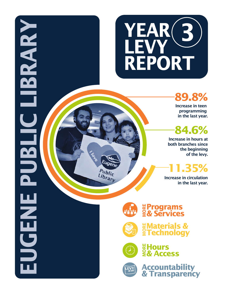

## **89.8%**

 Increase in teen programming in the last year.

# **84.6%**

Increase in hours at both branches since the beginning of the levy.

# **11.35%**

Increase in circulation in the last year.



# **Programs MORE & Services**



Public Library

**EUGENE PUBLIC LIBRARY** 

 $\frac{1}{2}$ 

 $\overline{\phantom{a}}$ 

UGENE

**IBRARY** 

**Waterials &<br>§Technology** 



**Hours MORE & Access**

**Accountability & Transparency**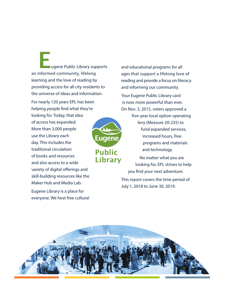**Eugene Public Library supports** an informed community, lifelong learning and the love of reading by providing access for all city residents to the universe of ideas and information.

For nearly 120 years EPL has been helping people find what they're looking for. Today, that idea of access has expanded. More than 3,000 people use the Library each day. This includes the traditional circulation of books and resources and also access to a wide variety of digital offerings and skill-building resources like the Maker Hub and Media Lab.

Eugene Library is a place for everyone. We host free cultural



```
Public
Library
```
and educational programs for all ages that support a lifelong love of reading and provide a focus on literacy and informing our community.

Your Eugene Public Library card is now more powerful than ever. On Nov. 3, 2015, voters approved a

> five-year local option operating levy (Measure 20-235) to fund expanded services, increased hours, free programs and materials and technology.

No matter what you are looking for, EPL strives to help you find your next adventure.

This report covers the time period of July 1, 2018 to June 30, 2019.

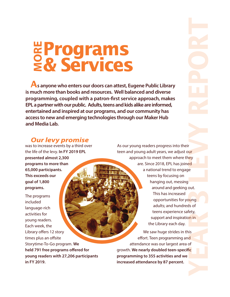# **Programs & Services MORE**

 **As anyone who enters our doors can attest, Eugene Public Library is much more than books and resources. Well balanced and diverse**  programming, coupled with a patron-first service approach, makes **EPL a partner with our public. Adults, teens and kids alike are informed, entertained and inspired at our programs, and our community has access to new and emerging technologies through our Maker Hub and Media Lab.**

# **YEAR 3 LEVEL AND THE PROPERTY REPORT**<br>Dung dut.<br>As of fety, ais defining<br>and fice

### *<u>Our levy promise</u>*

was to increase events by a third over the life of the levy. **In FY 2019 EPL presented almost 2,300 programs to more than 65,000 participants. This exceeds our goal of 1,800 programs.** 

The programs included language-rich activities for young readers. Each week, the Library offers 12 story times plus an offsite Storytime-To-Go program. **We held 791 free programs offered for young readers with 27,206 participants in FY 2019.**

As our young readers progress into their teen and young adult years, we adjust our approach to meet them where they are. Since 2018, EPL has joined a national trend to engage teens by focusing on hanging out, messing around and geeking out. This has increased opportunities for young adults; and hundreds of teens experience safety, support and inspiration in the Library each day.

We saw huge strides in this effort. Teen programming and attendance was our largest area of growth. We nearly doubled teen-specific **programming to 355 activities and we increased attendance by 87 percent.**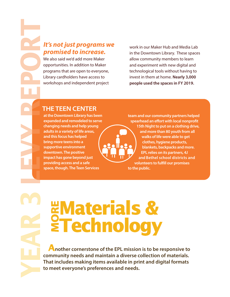# promised to increase.

We also said we'd add more Maker opportunities. In addition to Maker programs that are open to everyone, Library cardholders have access to workshops and independent project

work in our Maker Hub and Media Lab in the Downtown Library. These spaces allow community members to learn and experiment with new digital and technological tools without having to invest in them at home. **Nearly 3,000 people used the spaces in FY 2019.**

### **THE TEEN CENTER**

**at the Downtown Library has been expanded and remodeled to serve changing needs and help young adults in a variety of life areas, and this focus has helped bring more teens into a supportive environment downtown. The positive impact has gone beyond just providing access and a safe space, though. The Teen Services** 

**team and our community partners helped**  spearhead an effort with local nonprofit **15th Night to put on a clothing drive, and more than 80 youth from all walks of life were able to get clothes, hygiene products, blankets, backpacks and more. EPL relies on its partners, 4J and Bethel school districts and volunteers to fulfill our promises to the public.**

# **Waterials &<br>Experience**<br>Experience **Technology**

 **Another cornerstone of the EPL mission is to be responsive to community needs and maintain a diverse collection of materials. That includes making items available in print and digital formats to meet everyone's preferences and needs.**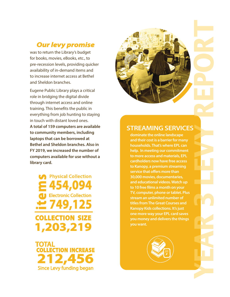### *Our levy promise*

was to return the Library's budget for books, movies, eBooks, etc., to pre-recession levels, providing quicker availability of in-demand items and to increase internet access at Bethel and Sheldon branches.

Eugene Public Library plays a critical role in bridging the digital divide through internet access and online training. This benefits the public in everything from job hunting to staying in touch with distant loved ones. **A total of 159 computers are available to community members, including laptops that can be borrowed at Bethel and Sheldon branches. Also in FY 2019, we increased the number of computers available for use without a library card.**

**COLLECTION SIZE 1,203,219 454,094** Electronic Collection **identify**<br> **1454,094**<br> **125**<br> **125**<br> **125** Physical Collection

**TOTAL 212,456 COLLECTION INCREASE** Since Levy funding began



### **STREAMING SERVICES**

**dominate the online landscape and their cost is a barrier for many households. That's where EPL can help. In meeting our commitment to more access and materials, EPL cardholders now have free access to Kanopy, a premium streaming service that offers more than 30,000 movies, documentaries, and educational videos. Watch up**  to 10 free films a month on your **TV, computer, phone or tablet. Plus stream an unlimited number of titles from The Great Courses and Kanopy Kids collections. It's just one more way your EPL card saves you money and delivers the things you want.**

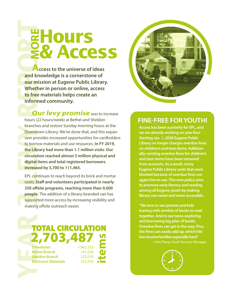**Access to the universe of ideas and knowledge is a cornerstone of our mission at Eugene Public Library. Whether in person or online, access to free materials helps create an informed community.**

**Hours** 

**& Access MORE**

*Our levy promise* was to increase

hours (22 hours/week) at Bethel and Sheldon branches and restore Sunday morning hours at the Downtown Library. We've done that, and this expansion provides increased opportunities for cardholders to borrow materials and use resources. **In FY 2019, the Library had more than 1.1 million visits. Our circulation reached almost 3 million physical and digital items and total registered borrowers increased by 3,700 to 111,465.**

EPL continues to reach beyond its brick and mortar roots. **Staff and volunteers participated in nearly 350 osite programs, reaching more than 9,000 people.** The addition of a library-branded van has supported more access by increasing visibility and making offsite outreach easier.





### **FINE-FREE FOR YOUTH!**

**Access has been a priority for EPL, and we are already working on year four. Starting Jan. 1, 2020 Eugene Public Library no longer charges overdue fines on children's and teen items. Additionally, existing overdue fines for children's and teen items have been removed from accounts. As a result, many Eugene Public Library cards that were blocked because of overdue fines are again free to use. This new policy aims to promote early literacy and reading among all Eugene youth by making library use easier and more accessible.** 

**"We love to see parents and kids leaving with armfuls of books to read together. And to see teens exploring and borrowing big piles of books. Overdue fines can get in the way. Plus, the nes can easily add up, which hits low-income families especially hard." ~**Kris Thorp, Youth Services Manager

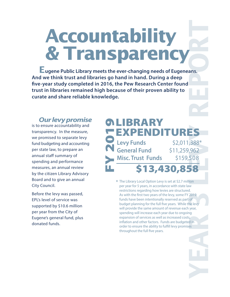**Accountability ACCOUNTERIMENTAL SUBSEX CONTRADITY**<br>
See think trust and libraries operation and David Theories of Eugeneons.<br>
See think trust and libraries operation and David Subsequent Counter and See the Second Subsequent Counter of

 **Eugene Public Library meets the ever-changing needs of Eugeneans. And we think trust and libraries go hand in hand. During a deep ve-year study completed in 2016, the Pew Research Center found trust in libraries remained high because of their proven ability to curate and share reliable knowledge.**

### *<u>Our levy promise</u>*

is to ensure accountability and transparency. In the measure, we promised to separate levy fund budgeting and accounting per state law, to prepare an annual staff summary of spending and performance measures, an annual review by the citizen Library Advisory Board and to give an annual City Council.

Before the levy was passed, EPL's level of service was supported by \$10.6 million per year from the City of Eugene's general fund, plus donated funds.

### \$13,430,858 **Levy Funds** \$2,011,388\* **General Fund** \$11,259,962 **Misc. Trust Funds** \$159,508 **OLIBRARY EXPENDITURES** FY 201

The Library Local Option Levy is set at \$2.7 million \* per year for 5 years, in accordance with state law restrictions regarding how levies are structured. As with the first two years of the levy, some FY 2019 funds have been intentionally reserved as part of budget planning for the full five years. While the levy will provide the same amount of revenue each year, spending will increase each year due to ongoing expansion of services as well as increased costs, inflation and other factors. Funds are budgeted in order to ensure the ability to fulfill levy promises throughout the full five years.